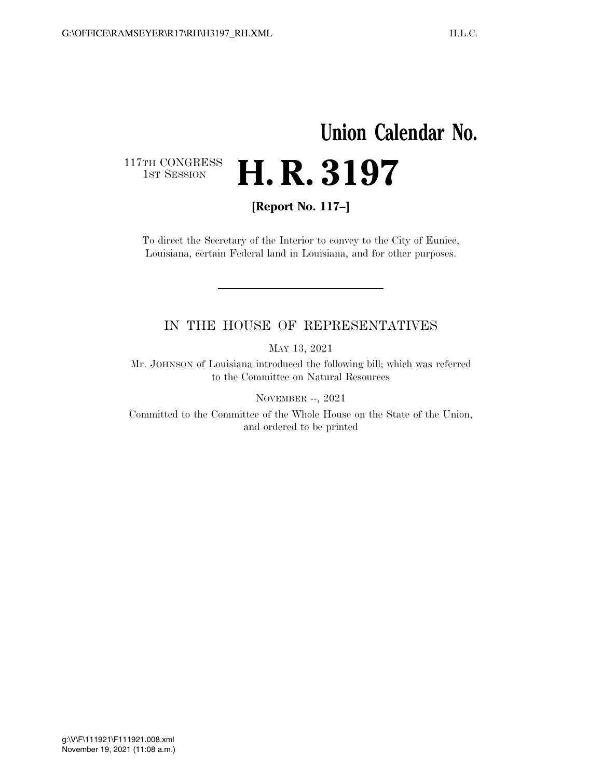## **Union Calendar No.**  117TH CONGRESS<br>1st Session H. R. 3197

**[Report No. 117–]** 

To direct the Secretary of the Interior to convey to the City of Eunice, Louisiana, certain Federal land in Louisiana, and for other purposes.

## IN THE HOUSE OF REPRESENTATIVES

MAY 13, 2021

Mr. JOHNSON of Louisiana introduced the following bill; which was referred to the Committee on Natural Resources

NOVEMBER --, 2021

Committed to the Committee of the Whole House on the State of the Union, and ordered to be printed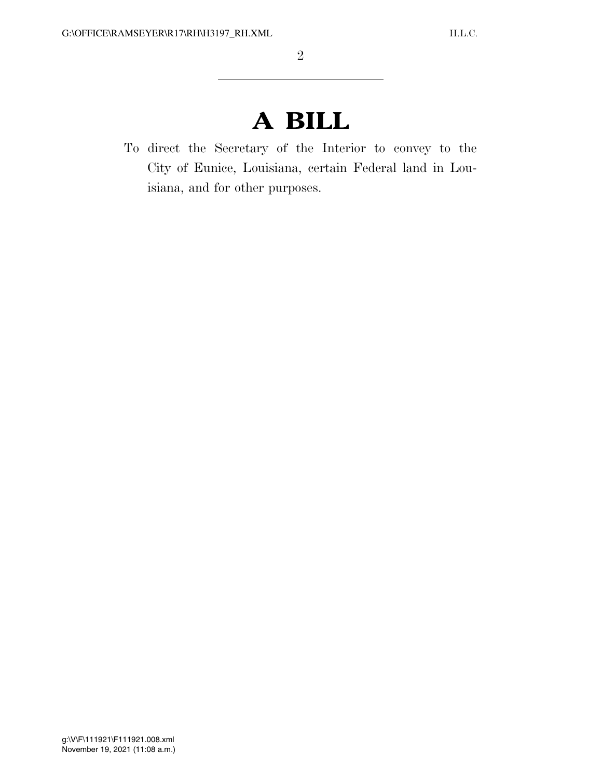## **A BILL**

To direct the Secretary of the Interior to convey to the City of Eunice, Louisiana, certain Federal land in Louisiana, and for other purposes.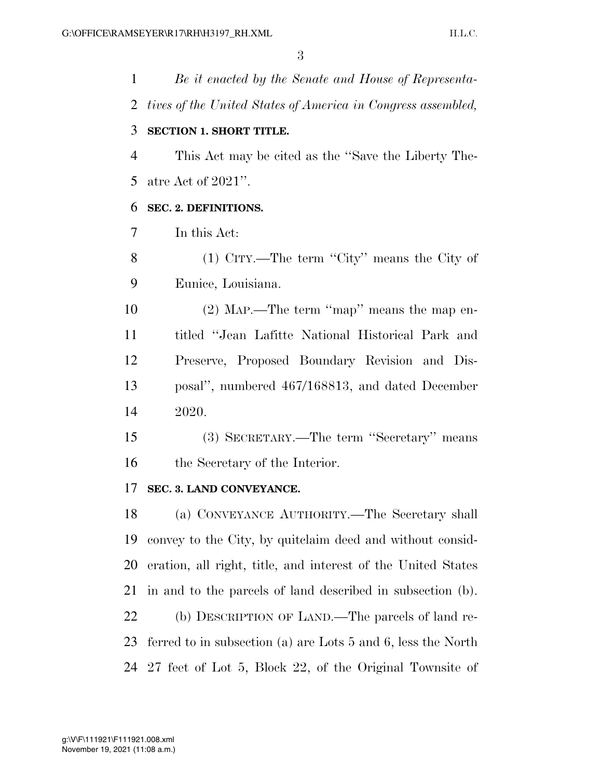*Be it enacted by the Senate and House of Representa- tives of the United States of America in Congress assembled,*  **SECTION 1. SHORT TITLE.**  This Act may be cited as the ''Save the Liberty The- atre Act of 2021''. **SEC. 2. DEFINITIONS.**  In this Act: (1) CITY.—The term ''City'' means the City of Eunice, Louisiana. (2) MAP.—The term ''map'' means the map en- titled ''Jean Lafitte National Historical Park and Preserve, Proposed Boundary Revision and Dis- posal'', numbered 467/168813, and dated December 2020. (3) SECRETARY.—The term ''Secretary'' means the Secretary of the Interior. **SEC. 3. LAND CONVEYANCE.**  (a) CONVEYANCE AUTHORITY.—The Secretary shall convey to the City, by quitclaim deed and without consid- eration, all right, title, and interest of the United States in and to the parcels of land described in subsection (b). (b) DESCRIPTION OF LAND.—The parcels of land re- ferred to in subsection (a) are Lots 5 and 6, less the North 27 feet of Lot 5, Block 22, of the Original Townsite of